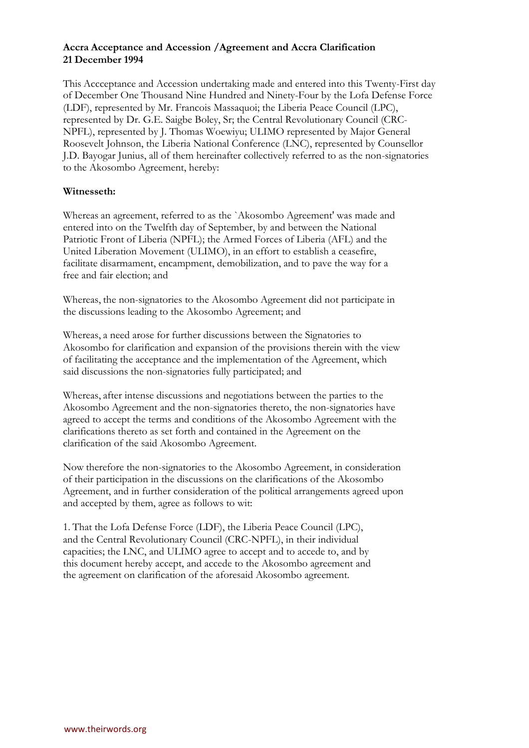# **Accra Acceptance and Accession /Agreement and Accra Clarification 21 December 1994**

This Accceptance and Accession undertaking made and entered into this Twenty-First day of December One Thousand Nine Hundred and Ninety-Four by the Lofa Defense Force (LDF), represented by Mr. Francois Massaquoi; the Liberia Peace Council (LPC), represented by Dr. G.E. Saigbe Boley, Sr; the Central Revolutionary Council (CRC-NPFL), represented by J. Thomas Woewiyu; ULIMO represented by Major General Roosevelt Johnson, the Liberia National Conference (LNC), represented by Counsellor J.D. Bayogar Junius, all of them hereinafter collectively referred to as the non-signatories to the Akosombo Agreement, hereby:

# **Witnesseth:**

Whereas an agreement, referred to as the `Akosombo Agreement' was made and entered into on the Twelfth day of September, by and between the National Patriotic Front of Liberia (NPFL); the Armed Forces of Liberia (AFL) and the United Liberation Movement (ULIMO), in an effort to establish a ceasefire, facilitate disarmament, encampment, demobilization, and to pave the way for a free and fair election; and

Whereas, the non-signatories to the Akosombo Agreement did not participate in the discussions leading to the Akosombo Agreement; and

Whereas, a need arose for further discussions between the Signatories to Akosombo for clarification and expansion of the provisions therein with the view of facilitating the acceptance and the implementation of the Agreement, which said discussions the non-signatories fully participated; and

Whereas, after intense discussions and negotiations between the parties to the Akosombo Agreement and the non-signatories thereto, the non-signatories have agreed to accept the terms and conditions of the Akosombo Agreement with the clarifications thereto as set forth and contained in the Agreement on the clarification of the said Akosombo Agreement.

Now therefore the non-signatories to the Akosombo Agreement, in consideration of their participation in the discussions on the clarifications of the Akosombo Agreement, and in further consideration of the political arrangements agreed upon and accepted by them, agree as follows to wit:

1. That the Lofa Defense Force (LDF), the Liberia Peace Council (LPC), and the Central Revolutionary Council (CRC-NPFL), in their individual capacities; the LNC, and ULIMO agree to accept and to accede to, and by this document hereby accept, and accede to the Akosombo agreement and the agreement on clarification of the aforesaid Akosombo agreement.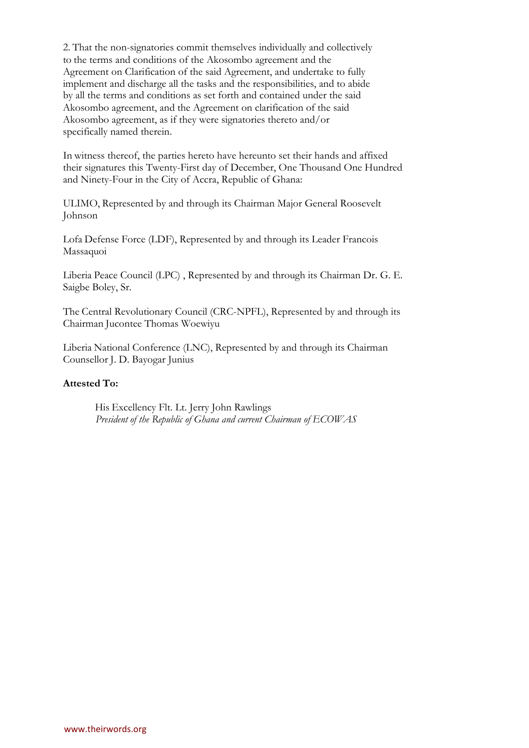2. That the non-signatories commit themselves individually and collectively to the terms and conditions of the Akosombo agreement and the Agreement on Clarification of the said Agreement, and undertake to fully implement and discharge all the tasks and the responsibilities, and to abide by all the terms and conditions as set forth and contained under the said Akosombo agreement, and the Agreement on clarification of the said Akosombo agreement, as if they were signatories thereto and/or specifically named therein.

In witness thereof, the parties hereto have hereunto set their hands and affixed their signatures this Twenty-First day of December, One Thousand One Hundred and Ninety-Four in the City of Accra, Republic of Ghana:

ULIMO, Represented by and through its Chairman Major General Roosevelt Johnson

Lofa Defense Force (LDF), Represented by and through its Leader Francois Massaquoi

Liberia Peace Council (LPC) , Represented by and through its Chairman Dr. G. E. Saigbe Boley, Sr.

The Central Revolutionary Council (CRC-NPFL), Represented by and through its Chairman Jucontee Thomas Woewiyu

Liberia National Conference (LNC), Represented by and through its Chairman Counsellor J. D. Bayogar Junius

## **Attested To:**

His Excellency Flt. Lt. Jerry John Rawlings *President of the Republic of Ghana and current Chairman of ECOWAS*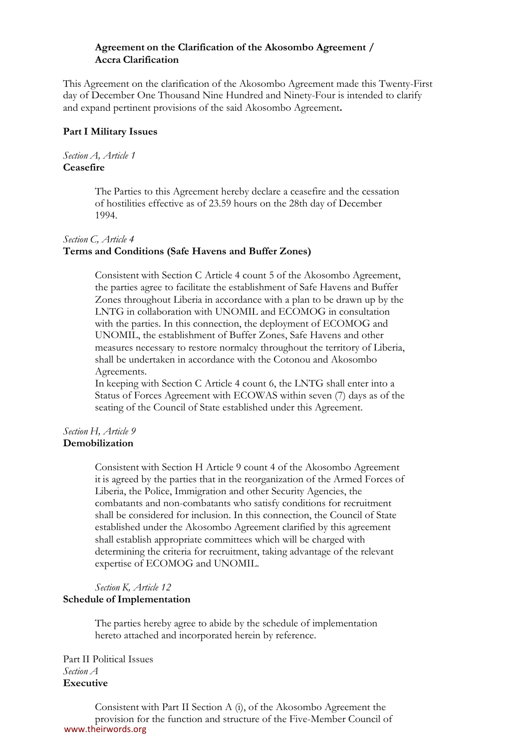#### **Agreement on the Clarification of the Akosombo Agreement / Accra Clarification**

This Agreement on the clarification of the Akosombo Agreement made this Twenty-First day of December One Thousand Nine Hundred and Ninety-Four is intended to clarify and expand pertinent provisions of the said Akosombo Agreement**.**

### **Part I Military Issues**

#### *Section A, Article 1* **Ceasefire**

The Parties to this Agreement hereby declare a ceasefire and the cessation of hostilities effective as of 23.59 hours on the 28th day of December 1994.

## *Section C, Article 4*

## **Terms and Conditions (Safe Havens and Buffer Zones)**

Consistent with Section C Article 4 count 5 of the Akosombo Agreement, the parties agree to facilitate the establishment of Safe Havens and Buffer Zones throughout Liberia in accordance with a plan to be drawn up by the LNTG in collaboration with UNOMIL and ECOMOG in consultation with the parties. In this connection, the deployment of ECOMOG and UNOMIL, the establishment of Buffer Zones, Safe Havens and other measures necessary to restore normalcy throughout the territory of Liberia, shall be undertaken in accordance with the Cotonou and Akosombo Agreements.

In keeping with Section C Article 4 count 6, the LNTG shall enter into a Status of Forces Agreement with ECOWAS within seven (7) days as of the seating of the Council of State established under this Agreement.

#### *Section H, Article 9* **Demobilization**

Consistent with Section H Article 9 count 4 of the Akosombo Agreement it is agreed by the parties that in the reorganization of the Armed Forces of Liberia, the Police, Immigration and other Security Agencies, the combatants and non-combatants who satisfy conditions for recruitment shall be considered for inclusion. In this connection, the Council of State established under the Akosombo Agreement clarified by this agreement shall establish appropriate committees which will be charged with determining the criteria for recruitment, taking advantage of the relevant expertise of ECOMOG and UNOMIL.

## *Section K, Article 12* **Schedule of Implementation**

The parties hereby agree to abide by the schedule of implementation hereto attached and incorporated herein by reference.

Part II Political Issues *Section A* **Executive**

Consistent with Part II Section A (i), of the Akosombo Agreement the provision for the function and structure of the Five-Member Council of www.theirwords.org